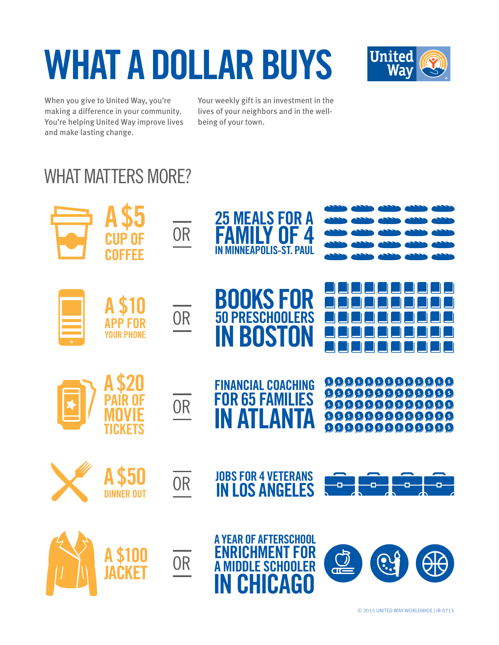## **WHAT A DOLLAR BUYS**



When you give to United Way, you're making a difference in your community. You're helping United Way improve lives and make lasting change.

Your weekly gift is an investment in the lives of your neighbors and in the wellbeing of your town.

## WHAT MATTERS MORE?

|                                  | <b>CUP OF</b><br><b>COFFEE</b>                | <b>OR</b>              | <b>25 MEALS FOR A</b><br>Family of 4<br><b>MINNEAPOLIS-ST. PAUL</b>                                 |                                                                                                                                                                                                                                                                                                                                                                                        |
|----------------------------------|-----------------------------------------------|------------------------|-----------------------------------------------------------------------------------------------------|----------------------------------------------------------------------------------------------------------------------------------------------------------------------------------------------------------------------------------------------------------------------------------------------------------------------------------------------------------------------------------------|
|                                  | A \$10<br><b>APP FOR</b><br><b>YOUR PHONE</b> | <b>OR</b>              | <b>BOOKS FOR</b><br><b>50 PRESCHOOLERS</b><br><b>IN BOSTON</b>                                      |                                                                                                                                                                                                                                                                                                                                                                                        |
| $\overline{\blacktriangleright}$ | TICKETS                                       | <b>OR</b>              | <b>FINANCIAL COACHING</b><br><b>FOR 65 FAMILIES</b><br><b>IN ATLANTA</b>                            | $\begin{picture}(10,10) \put(0,0){\line(1,0){10}} \put(10,0){\line(1,0){10}} \put(10,0){\line(1,0){10}} \put(10,0){\line(1,0){10}} \put(10,0){\line(1,0){10}} \put(10,0){\line(1,0){10}} \put(10,0){\line(1,0){10}} \put(10,0){\line(1,0){10}} \put(10,0){\line(1,0){10}} \put(10,0){\line(1,0){10}} \put(10,0){\line(1,0){10}} \put(10,0){\line(1$<br>9999999999999<br>99999999999999 |
|                                  | <b>AS50</b>                                   | $\overline{OR}$        | <b>JOBS FOR 4 VETERANS</b><br><b>IN LOS ANGELES</b>                                                 | يون<br>اليا<br>للوك<br>5<br>÷                                                                                                                                                                                                                                                                                                                                                          |
|                                  | \$100<br>JACKET                               | $\frac{}{\mathsf{OR}}$ | <b>A YEAR OF AFTERSCHOOL</b><br><b>ENRICHMENT FOR</b><br><b>A MIDDLE SCHOOLER</b><br><b>CHICAGO</b> | $\odot$                                                                                                                                                                                                                                                                                                                                                                                |